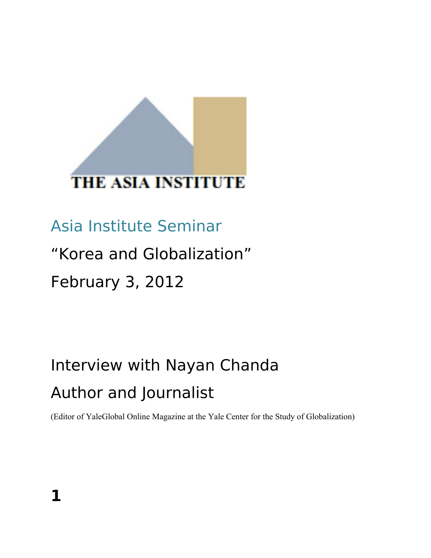# **THE ASIA INSTITUTE**

# Asia Institute Seminar

## "Korea and Globalization"

# February 3, 2012

# Interview with Nayan Chanda Author and Journalist

(Editor of YaleGlobal Online Magazine at the Yale Center for the Study of Globalization)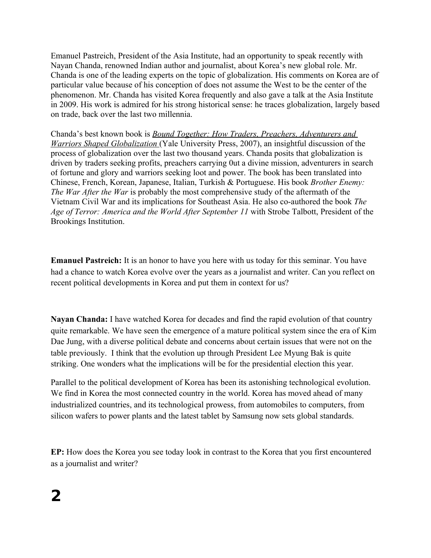Emanuel Pastreich, President of the Asia Institute, had an opportunity to speak recently with Nayan Chanda, renowned Indian author and journalist, about Korea's new global role. Mr. Chanda is one of the leading experts on the topic of globalization. His comments on Korea are of particular value because of his conception of does not assume the West to be the center of the phenomenon. Mr. Chanda has visited Korea frequently and also gave a talk at the Asia Institute in 2009. His work is admired for his strong historical sense: he traces globalization, largely based on trade, back over the last two millennia.

Chanda's best known book is *[Bound Together: How Traders, Preachers, Adventurers and](http://www.boundtogether-globalization.com/)  [Warriors Shaped Globalization](http://www.boundtogether-globalization.com/)* (Yale University Press, 2007), an insightful discussion of the process of globalization over the last two thousand years. Chanda posits that globalization is driven by traders seeking profits, preachers carrying 0ut a divine mission, adventurers in search of fortune and glory and warriors seeking loot and power. The book has been translated into Chinese, French, Korean, Japanese, Italian, Turkish & Portuguese. His book *Brother Enemy: The War After the War* is probably the most comprehensive study of the aftermath of the Vietnam Civil War and its implications for Southeast Asia. He also co-authored the book *The Age of Terror: America and the World After September 11* with Strobe Talbott, President of the Brookings Institution.

**Emanuel Pastreich:** It is an honor to have you here with us today for this seminar. You have had a chance to watch Korea evolve over the years as a journalist and writer. Can you reflect on recent political developments in Korea and put them in context for us?

**Nayan Chanda:** I have watched Korea for decades and find the rapid evolution of that country quite remarkable. We have seen the emergence of a mature political system since the era of Kim Dae Jung, with a diverse political debate and concerns about certain issues that were not on the table previously. I think that the evolution up through President Lee Myung Bak is quite striking. One wonders what the implications will be for the presidential election this year.

Parallel to the political development of Korea has been its astonishing technological evolution. We find in Korea the most connected country in the world. Korea has moved ahead of many industrialized countries, and its technological prowess, from automobiles to computers, from silicon wafers to power plants and the latest tablet by Samsung now sets global standards.

**EP:** How does the Korea you see today look in contrast to the Korea that you first encountered as a journalist and writer?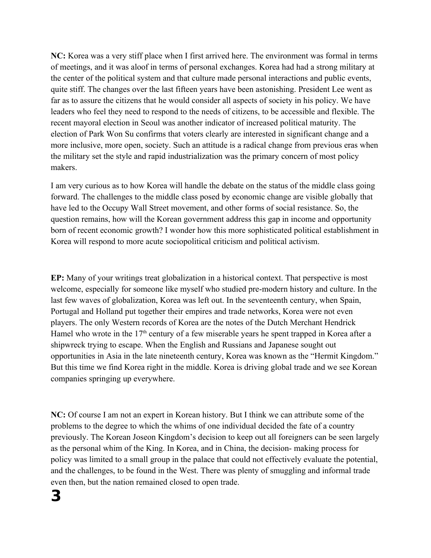**NC:** Korea was a very stiff place when I first arrived here. The environment was formal in terms of meetings, and it was aloof in terms of personal exchanges. Korea had had a strong military at the center of the political system and that culture made personal interactions and public events, quite stiff. The changes over the last fifteen years have been astonishing. President Lee went as far as to assure the citizens that he would consider all aspects of society in his policy. We have leaders who feel they need to respond to the needs of citizens, to be accessible and flexible. The recent mayoral election in Seoul was another indicator of increased political maturity. The election of Park Won Su confirms that voters clearly are interested in significant change and a more inclusive, more open, society. Such an attitude is a radical change from previous eras when the military set the style and rapid industrialization was the primary concern of most policy makers.

I am very curious as to how Korea will handle the debate on the status of the middle class going forward. The challenges to the middle class posed by economic change are visible globally that have led to the Occupy Wall Street movement, and other forms of social resistance. So, the question remains, how will the Korean government address this gap in income and opportunity born of recent economic growth? I wonder how this more sophisticated political establishment in Korea will respond to more acute sociopolitical criticism and political activism.

**EP:** Many of your writings treat globalization in a historical context. That perspective is most welcome, especially for someone like myself who studied pre-modern history and culture. In the last few waves of globalization, Korea was left out. In the seventeenth century, when Spain, Portugal and Holland put together their empires and trade networks, Korea were not even players. The only Western records of Korea are the notes of the Dutch Merchant Hendrick Hamel who wrote in the  $17<sup>th</sup>$  century of a few miserable years he spent trapped in Korea after a shipwreck trying to escape. When the English and Russians and Japanese sought out opportunities in Asia in the late nineteenth century, Korea was known as the "Hermit Kingdom." But this time we find Korea right in the middle. Korea is driving global trade and we see Korean companies springing up everywhere.

**NC:** Of course I am not an expert in Korean history. But I think we can attribute some of the problems to the degree to which the whims of one individual decided the fate of a country previously. The Korean Joseon Kingdom's decision to keep out all foreigners can be seen largely as the personal whim of the King. In Korea, and in China, the decision- making process for policy was limited to a small group in the palace that could not effectively evaluate the potential, and the challenges, to be found in the West. There was plenty of smuggling and informal trade even then, but the nation remained closed to open trade.

## **3**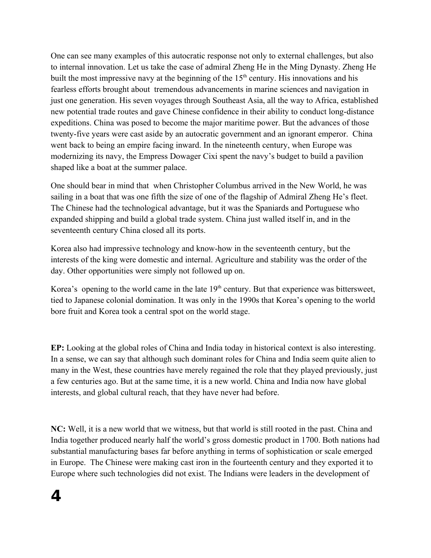One can see many examples of this autocratic response not only to external challenges, but also to internal innovation. Let us take the case of admiral Zheng He in the Ming Dynasty. Zheng He built the most impressive navy at the beginning of the  $15<sup>th</sup>$  century. His innovations and his fearless efforts brought about tremendous advancements in marine sciences and navigation in just one generation. His seven voyages through Southeast Asia, all the way to Africa, established new potential trade routes and gave Chinese confidence in their ability to conduct long-distance expeditions. China was posed to become the major maritime power. But the advances of those twenty-five years were cast aside by an autocratic government and an ignorant emperor. China went back to being an empire facing inward. In the nineteenth century, when Europe was modernizing its navy, the Empress Dowager Cixi spent the navy's budget to build a pavilion shaped like a boat at the summer palace.

One should bear in mind that when Christopher Columbus arrived in the New World, he was sailing in a boat that was one fifth the size of one of the flagship of Admiral Zheng He's fleet. The Chinese had the technological advantage, but it was the Spaniards and Portuguese who expanded shipping and build a global trade system. China just walled itself in, and in the seventeenth century China closed all its ports.

Korea also had impressive technology and know-how in the seventeenth century, but the interests of the king were domestic and internal. Agriculture and stability was the order of the day. Other opportunities were simply not followed up on.

Korea's opening to the world came in the late  $19<sup>th</sup>$  century. But that experience was bittersweet, tied to Japanese colonial domination. It was only in the 1990s that Korea's opening to the world bore fruit and Korea took a central spot on the world stage.

**EP:** Looking at the global roles of China and India today in historical context is also interesting. In a sense, we can say that although such dominant roles for China and India seem quite alien to many in the West, these countries have merely regained the role that they played previously, just a few centuries ago. But at the same time, it is a new world. China and India now have global interests, and global cultural reach, that they have never had before.

**NC:** Well, it is a new world that we witness, but that world is still rooted in the past. China and India together produced nearly half the world's gross domestic product in 1700. Both nations had substantial manufacturing bases far before anything in terms of sophistication or scale emerged in Europe. The Chinese were making cast iron in the fourteenth century and they exported it to Europe where such technologies did not exist. The Indians were leaders in the development of

#### **4**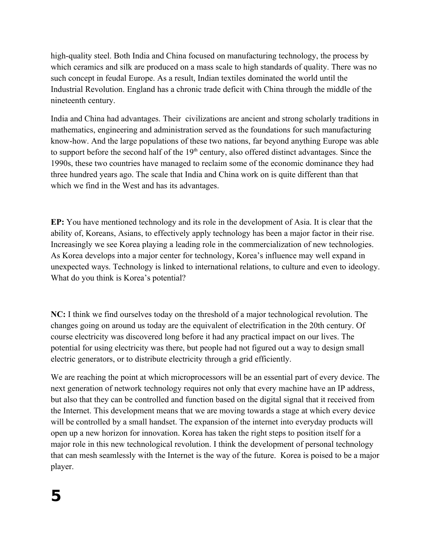high-quality steel. Both India and China focused on manufacturing technology, the process by which ceramics and silk are produced on a mass scale to high standards of quality. There was no such concept in feudal Europe. As a result, Indian textiles dominated the world until the Industrial Revolution. England has a chronic trade deficit with China through the middle of the nineteenth century.

India and China had advantages. Their civilizations are ancient and strong scholarly traditions in mathematics, engineering and administration served as the foundations for such manufacturing know-how. And the large populations of these two nations, far beyond anything Europe was able to support before the second half of the  $19<sup>th</sup>$  century, also offered distinct advantages. Since the 1990s, these two countries have managed to reclaim some of the economic dominance they had three hundred years ago. The scale that India and China work on is quite different than that which we find in the West and has its advantages.

**EP:** You have mentioned technology and its role in the development of Asia. It is clear that the ability of, Koreans, Asians, to effectively apply technology has been a major factor in their rise. Increasingly we see Korea playing a leading role in the commercialization of new technologies. As Korea develops into a major center for technology, Korea's influence may well expand in unexpected ways. Technology is linked to international relations, to culture and even to ideology. What do you think is Korea's potential?

**NC:** I think we find ourselves today on the threshold of a major technological revolution. The changes going on around us today are the equivalent of electrification in the 20th century. Of course electricity was discovered long before it had any practical impact on our lives. The potential for using electricity was there, but people had not figured out a way to design small electric generators, or to distribute electricity through a grid efficiently.

We are reaching the point at which microprocessors will be an essential part of every device. The next generation of network technology requires not only that every machine have an IP address, but also that they can be controlled and function based on the digital signal that it received from the Internet. This development means that we are moving towards a stage at which every device will be controlled by a small handset. The expansion of the internet into everyday products will open up a new horizon for innovation. Korea has taken the right steps to position itself for a major role in this new technological revolution. I think the development of personal technology that can mesh seamlessly with the Internet is the way of the future. Korea is poised to be a major player.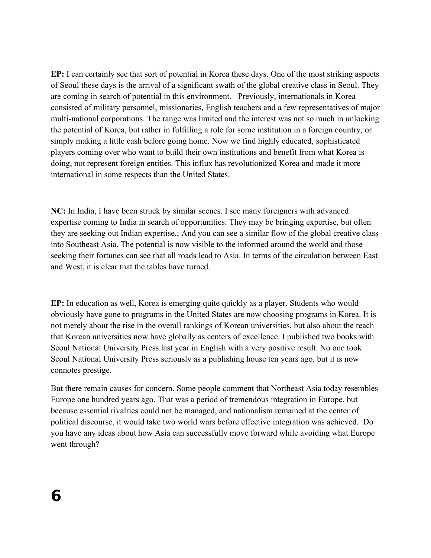**EP:** I can certainly see that sort of potential in Korea these days. One of the most striking aspects of Seoul these days is the arrival of a significant swath of the global creative class in Seoul. They are coming in search of potential in this environment. Previously, internationals in Korea consisted of military personnel, missionaries, English teachers and a few representatives of major multi-national corporations. The range was limited and the interest was not so much in unlocking the potential of Korea, but rather in fulfilling a role for some institution in a foreign country, or simply making a little cash before going home. Now we find highly educated, sophisticated players coming over who want to build their own institutions and benefit from what Korea is doing, not represent foreign entities. This influx has revolutionized Korea and made it more international in some respects than the United States.

**NC:** In India, I have been struck by similar scenes. I see many foreigners with advanced expertise coming to India in search of opportunities. They may be bringing expertise, but often they are seeking out Indian expertise.; And you can see a similar flow of the global creative class into Southeast Asia. The potential is now visible to the informed around the world and those seeking their fortunes can see that all roads lead to Asia. In terms of the circulation between East and West, it is clear that the tables have turned.

**EP:** In education as well, Korea is emerging quite quickly as a player. Students who would obviously have gone to programs in the United States are now choosing programs in Korea. It is not merely about the rise in the overall rankings of Korean universities, but also about the reach that Korean universities now have globally as centers of excellence. I published two books with Seoul National University Press last year in English with a very positive result. No one took Seoul National University Press seriously as a publishing house ten years ago, but it is now connotes prestige.

But there remain causes for concern. Some people comment that Northeast Asia today resembles Europe one hundred years ago. That was a period of tremendous integration in Europe, but because essential rivalries could not be managed, and nationalism remained at the center of political discourse, it would take two world wars before effective integration was achieved. Do you have any ideas about how Asia can successfully move forward while avoiding what Europe went through?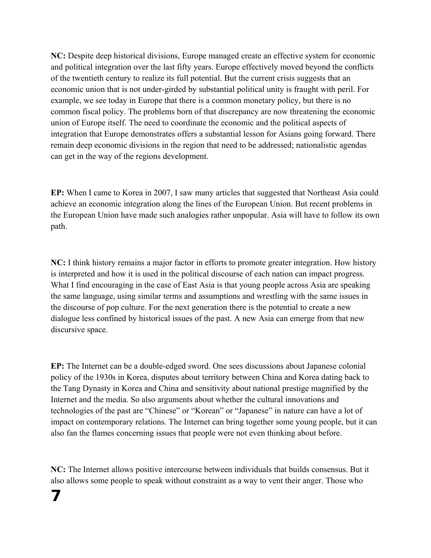**NC:** Despite deep historical divisions, Europe managed create an effective system for economic and political integration over the last fifty years. Europe effectively moved beyond the conflicts of the twentieth century to realize its full potential. But the current crisis suggests that an economic union that is not under-girded by substantial political unity is fraught with peril. For example, we see today in Europe that there is a common monetary policy, but there is no common fiscal policy. The problems born of that discrepancy are now threatening the economic union of Europe itself. The need to coordinate the economic and the political aspects of integration that Europe demonstrates offers a substantial lesson for Asians going forward. There remain deep economic divisions in the region that need to be addressed; nationalistic agendas can get in the way of the regions development.

**EP:** When I came to Korea in 2007, I saw many articles that suggested that Northeast Asia could achieve an economic integration along the lines of the European Union. But recent problems in the European Union have made such analogies rather unpopular. Asia will have to follow its own path.

**NC:** I think history remains a major factor in efforts to promote greater integration. How history is interpreted and how it is used in the political discourse of each nation can impact progress. What I find encouraging in the case of East Asia is that young people across Asia are speaking the same language, using similar terms and assumptions and wrestling with the same issues in the discourse of pop culture. For the next generation there is the potential to create a new dialogue less confined by historical issues of the past. A new Asia can emerge from that new discursive space.

**EP:** The Internet can be a double-edged sword. One sees discussions about Japanese colonial policy of the 1930s in Korea, disputes about territory between China and Korea dating back to the Tang Dynasty in Korea and China and sensitivity about national prestige magnified by the Internet and the media. So also arguments about whether the cultural innovations and technologies of the past are "Chinese" or "Korean" or "Japanese" in nature can have a lot of impact on contemporary relations. The Internet can bring together some young people, but it can also fan the flames concerning issues that people were not even thinking about before.

**NC:** The Internet allows positive intercourse between individuals that builds consensus. But it also allows some people to speak without constraint as a way to vent their anger. Those who

### **7**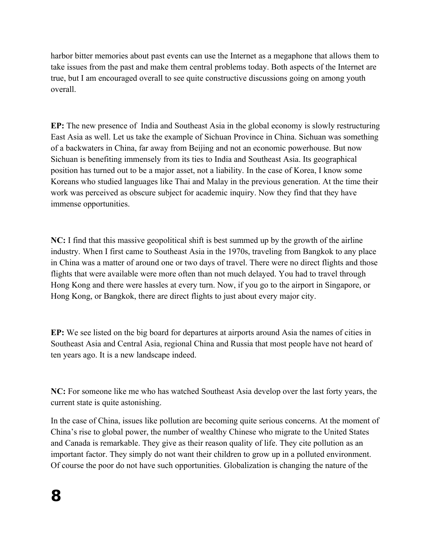harbor bitter memories about past events can use the Internet as a megaphone that allows them to take issues from the past and make them central problems today. Both aspects of the Internet are true, but I am encouraged overall to see quite constructive discussions going on among youth overall.

**EP:** The new presence of India and Southeast Asia in the global economy is slowly restructuring East Asia as well. Let us take the example of Sichuan Province in China. Sichuan was something of a backwaters in China, far away from Beijing and not an economic powerhouse. But now Sichuan is benefiting immensely from its ties to India and Southeast Asia. Its geographical position has turned out to be a major asset, not a liability. In the case of Korea, I know some Koreans who studied languages like Thai and Malay in the previous generation. At the time their work was perceived as obscure subject for academic inquiry. Now they find that they have immense opportunities.

**NC:** I find that this massive geopolitical shift is best summed up by the growth of the airline industry. When I first came to Southeast Asia in the 1970s, traveling from Bangkok to any place in China was a matter of around one or two days of travel. There were no direct flights and those flights that were available were more often than not much delayed. You had to travel through Hong Kong and there were hassles at every turn. Now, if you go to the airport in Singapore, or Hong Kong, or Bangkok, there are direct flights to just about every major city.

**EP:** We see listed on the big board for departures at airports around Asia the names of cities in Southeast Asia and Central Asia, regional China and Russia that most people have not heard of ten years ago. It is a new landscape indeed.

**NC:** For someone like me who has watched Southeast Asia develop over the last forty years, the current state is quite astonishing.

In the case of China, issues like pollution are becoming quite serious concerns. At the moment of China's rise to global power, the number of wealthy Chinese who migrate to the United States and Canada is remarkable. They give as their reason quality of life. They cite pollution as an important factor. They simply do not want their children to grow up in a polluted environment. Of course the poor do not have such opportunities. Globalization is changing the nature of the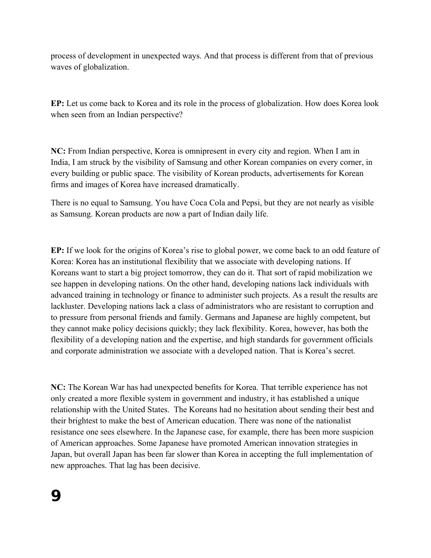process of development in unexpected ways. And that process is different from that of previous waves of globalization.

**EP:** Let us come back to Korea and its role in the process of globalization. How does Korea look when seen from an Indian perspective?

**NC:** From Indian perspective, Korea is omnipresent in every city and region. When I am in India, I am struck by the visibility of Samsung and other Korean companies on every corner, in every building or public space. The visibility of Korean products, advertisements for Korean firms and images of Korea have increased dramatically.

There is no equal to Samsung. You have Coca Cola and Pepsi, but they are not nearly as visible as Samsung. Korean products are now a part of Indian daily life.

**EP:** If we look for the origins of Korea's rise to global power, we come back to an odd feature of Korea: Korea has an institutional flexibility that we associate with developing nations. If Koreans want to start a big project tomorrow, they can do it. That sort of rapid mobilization we see happen in developing nations. On the other hand, developing nations lack individuals with advanced training in technology or finance to administer such projects. As a result the results are lackluster. Developing nations lack a class of administrators who are resistant to corruption and to pressure from personal friends and family. Germans and Japanese are highly competent, but they cannot make policy decisions quickly; they lack flexibility. Korea, however, has both the flexibility of a developing nation and the expertise, and high standards for government officials and corporate administration we associate with a developed nation. That is Korea's secret.

**NC:** The Korean War has had unexpected benefits for Korea. That terrible experience has not only created a more flexible system in government and industry, it has established a unique relationship with the United States. The Koreans had no hesitation about sending their best and their brightest to make the best of American education. There was none of the nationalist resistance one sees elsewhere. In the Japanese case, for example, there has been more suspicion of American approaches. Some Japanese have promoted American innovation strategies in Japan, but overall Japan has been far slower than Korea in accepting the full implementation of new approaches. That lag has been decisive.